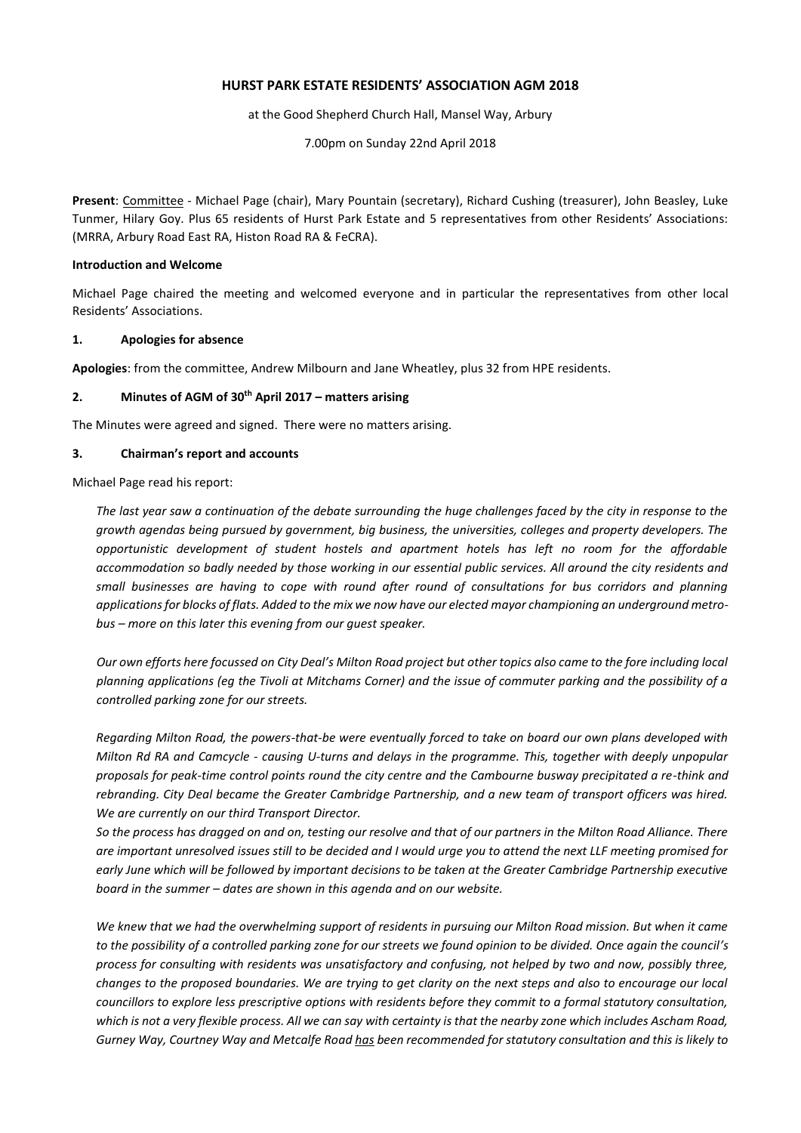## **HURST PARK ESTATE RESIDENTS' ASSOCIATION AGM 2018**

at the Good Shepherd Church Hall, Mansel Way, Arbury

7.00pm on Sunday 22nd April 2018

**Present**: Committee - Michael Page (chair), Mary Pountain (secretary), Richard Cushing (treasurer), John Beasley, Luke Tunmer, Hilary Goy. Plus 65 residents of Hurst Park Estate and 5 representatives from other Residents' Associations: (MRRA, Arbury Road East RA, Histon Road RA & FeCRA).

### **Introduction and Welcome**

Michael Page chaired the meeting and welcomed everyone and in particular the representatives from other local Residents' Associations.

#### **1. Apologies for absence**

**Apologies**: from the committee, Andrew Milbourn and Jane Wheatley, plus 32 from HPE residents.

#### **2. Minutes of AGM of 30th April 2017 – matters arising**

The Minutes were agreed and signed. There were no matters arising.

#### **3. Chairman's report and accounts**

Michael Page read his report:

*The last year saw a continuation of the debate surrounding the huge challenges faced by the city in response to the growth agendas being pursued by government, big business, the universities, colleges and property developers. The opportunistic development of student hostels and apartment hotels has left no room for the affordable accommodation so badly needed by those working in our essential public services. All around the city residents and small businesses are having to cope with round after round of consultations for bus corridors and planning applications for blocks of flats. Added to the mix we now have our elected mayor championing an underground metrobus – more on this later this evening from our guest speaker.*

*Our own efforts here focussed on City Deal's Milton Road project but other topics also came to the fore including local planning applications (eg the Tivoli at Mitchams Corner) and the issue of commuter parking and the possibility of a controlled parking zone for our streets.*

*Regarding Milton Road, the powers-that-be were eventually forced to take on board our own plans developed with Milton Rd RA and Camcycle - causing U-turns and delays in the programme. This, together with deeply unpopular proposals for peak-time control points round the city centre and the Cambourne busway precipitated a re-think and rebranding. City Deal became the Greater Cambridge Partnership, and a new team of transport officers was hired. We are currently on our third Transport Director.*

*So the process has dragged on and on, testing our resolve and that of our partners in the Milton Road Alliance. There are important unresolved issues still to be decided and I would urge you to attend the next LLF meeting promised for*  early June which will be followed by important decisions to be taken at the Greater Cambridge Partnership executive *board in the summer – dates are shown in this agenda and on our website.*

*We knew that we had the overwhelming support of residents in pursuing our Milton Road mission. But when it came to the possibility of a controlled parking zone for our streets we found opinion to be divided. Once again the council's process for consulting with residents was unsatisfactory and confusing, not helped by two and now, possibly three, changes to the proposed boundaries. We are trying to get clarity on the next steps and also to encourage our local councillors to explore less prescriptive options with residents before they commit to a formal statutory consultation, which is not a very flexible process. All we can say with certainty is that the nearby zone which includes Ascham Road, Gurney Way, Courtney Way and Metcalfe Road has been recommended for statutory consultation and this is likely to*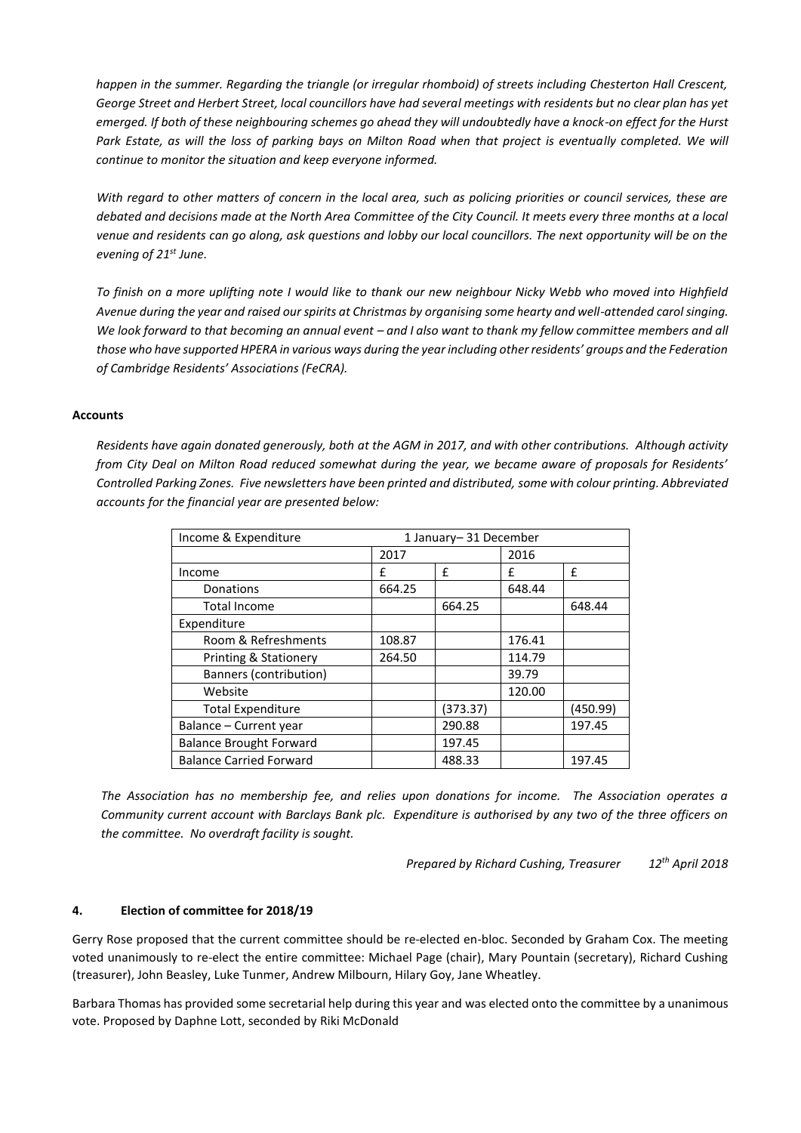happen in the summer. Regarding the triangle (or irregular rhomboid) of streets including Chesterton Hall Crescent, *George Street and Herbert Street, local councillors have had several meetings with residents but no clear plan has yet emerged. If both of these neighbouring schemes go ahead they will undoubtedly have a knock-on effect for the Hurst*  Park Estate, as will the loss of parking bays on Milton Road when that project is eventually completed. We will *continue to monitor the situation and keep everyone informed.*

*With regard to other matters of concern in the local area, such as policing priorities or council services, these are debated and decisions made at the North Area Committee of the City Council. It meets every three months at a local venue and residents can go along, ask questions and lobby our local councillors. The next opportunity will be on the evening of 21st June.*

*To finish on a more uplifting note I would like to thank our new neighbour Nicky Webb who moved into Highfield Avenue during the year and raised our spirits at Christmas by organising some hearty and well-attended carol singing.*  We look forward to that becoming an annual event - and I also want to thank my fellow committee members and all *those who have supported HPERA in various ways during the year including other residents' groups and the Federation of Cambridge Residents' Associations (FeCRA).*

## **Accounts**

*Residents have again donated generously, both at the AGM in 2017, and with other contributions. Although activity from City Deal on Milton Road reduced somewhat during the year, we became aware of proposals for Residents' Controlled Parking Zones. Five newsletters have been printed and distributed, some with colour printing. Abbreviated accounts for the financial year are presented below:*

| Income & Expenditure           | 1 January-31 December |          |        |          |
|--------------------------------|-----------------------|----------|--------|----------|
|                                | 2017                  |          | 2016   |          |
| Income                         | f                     | f        | f      | f        |
| Donations                      | 664.25                |          | 648.44 |          |
| <b>Total Income</b>            |                       | 664.25   |        | 648.44   |
| Expenditure                    |                       |          |        |          |
| Room & Refreshments            | 108.87                |          | 176.41 |          |
| Printing & Stationery          | 264.50                |          | 114.79 |          |
| Banners (contribution)         |                       |          | 39.79  |          |
| Website                        |                       |          | 120.00 |          |
| <b>Total Expenditure</b>       |                       | (373.37) |        | (450.99) |
| Balance - Current year         |                       | 290.88   |        | 197.45   |
| <b>Balance Brought Forward</b> |                       | 197.45   |        |          |
| <b>Balance Carried Forward</b> |                       | 488.33   |        | 197.45   |

*The Association has no membership fee, and relies upon donations for income. The Association operates a Community current account with Barclays Bank plc. Expenditure is authorised by any two of the three officers on the committee. No overdraft facility is sought.*

*Prepared by Richard Cushing, Treasurer 12th April 2018*

## **4. Election of committee for 2018/19**

Gerry Rose proposed that the current committee should be re-elected en-bloc. Seconded by Graham Cox. The meeting voted unanimously to re-elect the entire committee: Michael Page (chair), Mary Pountain (secretary), Richard Cushing (treasurer), John Beasley, Luke Tunmer, Andrew Milbourn, Hilary Goy, Jane Wheatley.

Barbara Thomas has provided some secretarial help during this year and was elected onto the committee by a unanimous vote. Proposed by Daphne Lott, seconded by Riki McDonald